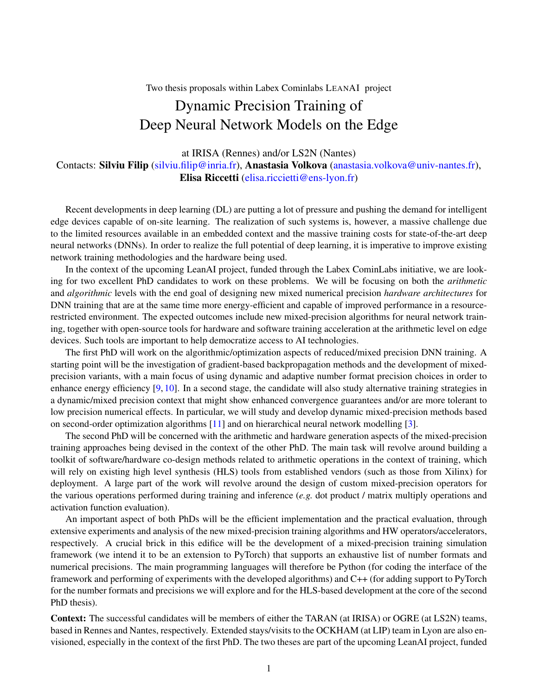Two thesis proposals within Labex Cominlabs LEANAI project

## Dynamic Precision Training of Deep Neural Network Models on the Edge

at IRISA (Rennes) and/or LS2N (Nantes)

Contacts: Silviu Filip [\(silviu.filip@inria.fr\)](mailto:silviu.filip@inria.fr), Anastasia Volkova [\(anastasia.volkova@univ-nantes.fr\)](mailto:anastasia.volkova@univ-nantes.fr), Elisa Riccetti [\(elisa.riccietti@ens-lyon.fr\)](mailto:elisa.riccietti@ens-lyon.fr)

Recent developments in deep learning (DL) are putting a lot of pressure and pushing the demand for intelligent edge devices capable of on-site learning. The realization of such systems is, however, a massive challenge due to the limited resources available in an embedded context and the massive training costs for state-of-the-art deep neural networks (DNNs). In order to realize the full potential of deep learning, it is imperative to improve existing network training methodologies and the hardware being used.

In the context of the upcoming LeanAI project, funded through the Labex CominLabs initiative, we are looking for two excellent PhD candidates to work on these problems. We will be focusing on both the *arithmetic* and *algorithmic* levels with the end goal of designing new mixed numerical precision *hardware architectures* for DNN training that are at the same time more energy-efficient and capable of improved performance in a resourcerestricted environment. The expected outcomes include new mixed-precision algorithms for neural network training, together with open-source tools for hardware and software training acceleration at the arithmetic level on edge devices. Such tools are important to help democratize access to AI technologies.

The first PhD will work on the algorithmic/optimization aspects of reduced/mixed precision DNN training. A starting point will be the investigation of gradient-based backpropagation methods and the development of mixedprecision variants, with a main focus of using dynamic and adaptive number format precision choices in order to enhance energy efficiency [\[9,](#page-2-0) [10\]](#page-2-1). In a second stage, the candidate will also study alternative training strategies in a dynamic/mixed precision context that might show enhanced convergence guarantees and/or are more tolerant to low precision numerical effects. In particular, we will study and develop dynamic mixed-precision methods based on second-order optimization algorithms [\[11\]](#page-2-2) and on hierarchical neural network modelling [\[3\]](#page-1-0).

The second PhD will be concerned with the arithmetic and hardware generation aspects of the mixed-precision training approaches being devised in the context of the other PhD. The main task will revolve around building a toolkit of software/hardware co-design methods related to arithmetic operations in the context of training, which will rely on existing high level synthesis (HLS) tools from established vendors (such as those from Xilinx) for deployment. A large part of the work will revolve around the design of custom mixed-precision operators for the various operations performed during training and inference (*e.g.* dot product / matrix multiply operations and activation function evaluation).

An important aspect of both PhDs will be the efficient implementation and the practical evaluation, through extensive experiments and analysis of the new mixed-precision training algorithms and HW operators/accelerators, respectively. A crucial brick in this edifice will be the development of a mixed-precision training simulation framework (we intend it to be an extension to PyTorch) that supports an exhaustive list of number formats and numerical precisions. The main programming languages will therefore be Python (for coding the interface of the framework and performing of experiments with the developed algorithms) and C++ (for adding support to PyTorch for the number formats and precisions we will explore and for the HLS-based development at the core of the second PhD thesis).

Context: The successful candidates will be members of either the TARAN (at IRISA) or OGRE (at LS2N) teams, based in Rennes and Nantes, respectively. Extended stays/visits to the OCKHAM (at LIP) team in Lyon are also envisioned, especially in the context of the first PhD. The two theses are part of the upcoming LeanAI project, funded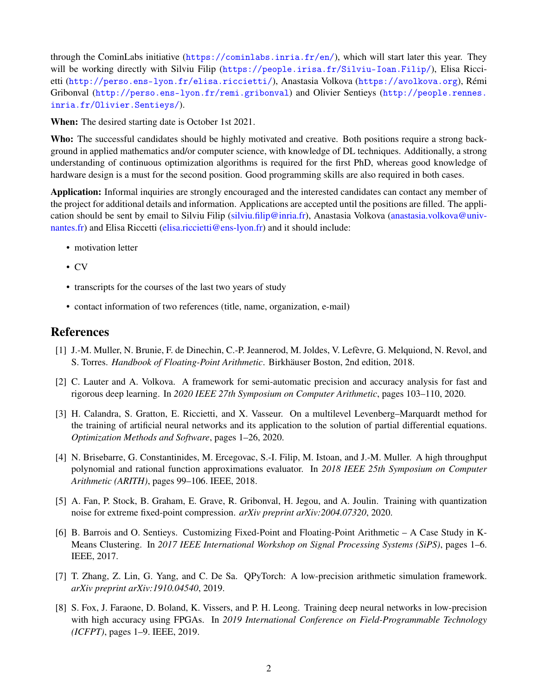through the CominLabs initiative (<https://cominlabs.inria.fr/en/>), which will start later this year. They will be working directly with Silviu Filip (<https://people.irisa.fr/Silviu-Ioan.Filip/>), Elisa Riccietti (<http://perso.ens-lyon.fr/elisa.riccietti/>), Anastasia Volkova (<https://avolkova.org>), Rémi Gribonval (<http://perso.ens-lyon.fr/remi.gribonval>) and Olivier Sentieys ([http://people.rennes.](http://people.rennes.inria.fr/Olivier.Sentieys/) [inria.fr/Olivier.Sentieys/](http://people.rennes.inria.fr/Olivier.Sentieys/)).

When: The desired starting date is October 1st 2021.

Who: The successful candidates should be highly motivated and creative. Both positions require a strong background in applied mathematics and/or computer science, with knowledge of DL techniques. Additionally, a strong understanding of continuous optimization algorithms is required for the first PhD, whereas good knowledge of hardware design is a must for the second position. Good programming skills are also required in both cases.

Application: Informal inquiries are strongly encouraged and the interested candidates can contact any member of the project for additional details and information. Applications are accepted until the positions are filled. The application should be sent by email to Silviu Filip [\(silviu.filip@inria.fr\)](mailto:silviu.filip@inria.fr), Anastasia Volkova [\(anastasia.volkova@univ](mailto:anastasia.volkova@univ-nantes.fr)[nantes.fr\)](mailto:anastasia.volkova@univ-nantes.fr) and Elisa Riccetti [\(elisa.riccietti@ens-lyon.fr\)](mailto:elisa.riccietti@ens-lyon.fr) and it should include:

- motivation letter
- CV
- transcripts for the courses of the last two years of study
- contact information of two references (title, name, organization, e-mail)

## References

- [1] J.-M. Muller, N. Brunie, F. de Dinechin, C.-P. Jeannerod, M. Joldes, V. Lefèvre, G. Melquiond, N. Revol, and S. Torres. *Handbook of Floating-Point Arithmetic*. Birkhäuser Boston, 2nd edition, 2018.
- [2] C. Lauter and A. Volkova. A framework for semi-automatic precision and accuracy analysis for fast and rigorous deep learning. In *2020 IEEE 27th Symposium on Computer Arithmetic*, pages 103–110, 2020.
- <span id="page-1-0"></span>[3] H. Calandra, S. Gratton, E. Riccietti, and X. Vasseur. On a multilevel Levenberg–Marquardt method for the training of artificial neural networks and its application to the solution of partial differential equations. *Optimization Methods and Software*, pages 1–26, 2020.
- [4] N. Brisebarre, G. Constantinides, M. Ercegovac, S.-I. Filip, M. Istoan, and J.-M. Muller. A high throughput polynomial and rational function approximations evaluator. In *2018 IEEE 25th Symposium on Computer Arithmetic (ARITH)*, pages 99–106. IEEE, 2018.
- [5] A. Fan, P. Stock, B. Graham, E. Grave, R. Gribonval, H. Jegou, and A. Joulin. Training with quantization noise for extreme fixed-point compression. *arXiv preprint arXiv:2004.07320*, 2020.
- [6] B. Barrois and O. Sentieys. Customizing Fixed-Point and Floating-Point Arithmetic A Case Study in K-Means Clustering. In *2017 IEEE International Workshop on Signal Processing Systems (SiPS)*, pages 1–6. IEEE, 2017.
- [7] T. Zhang, Z. Lin, G. Yang, and C. De Sa. QPyTorch: A low-precision arithmetic simulation framework. *arXiv preprint arXiv:1910.04540*, 2019.
- [8] S. Fox, J. Faraone, D. Boland, K. Vissers, and P. H. Leong. Training deep neural networks in low-precision with high accuracy using FPGAs. In *2019 International Conference on Field-Programmable Technology (ICFPT)*, pages 1–9. IEEE, 2019.